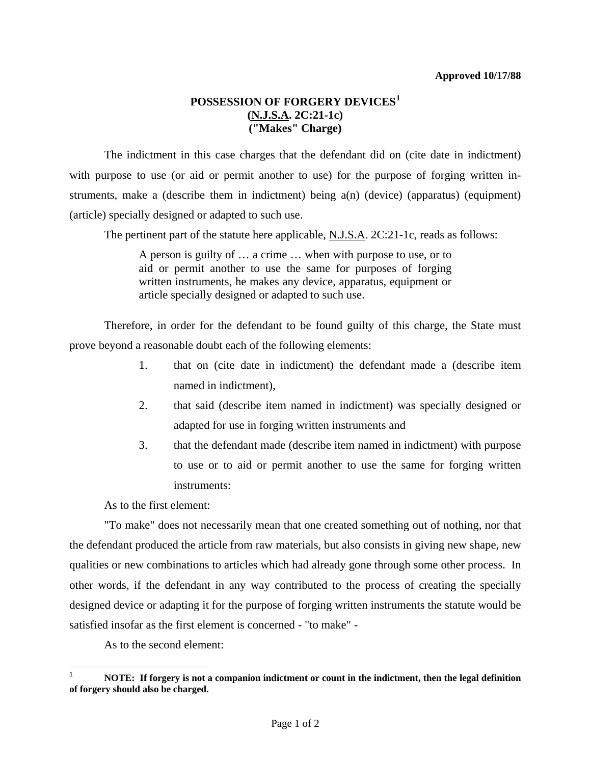## **POSSESSION OF FORGERY DEVICES[1](#page-0-0) (N.J.S.A. 2C:21-1c) ("Makes" Charge)**

 The indictment in this case charges that the defendant did on (cite date in indictment) with purpose to use (or aid or permit another to use) for the purpose of forging written instruments, make a (describe them in indictment) being a(n) (device) (apparatus) (equipment) (article) specially designed or adapted to such use.

The pertinent part of the statute here applicable, N.J.S.A. 2C:21-1c, reads as follows:

A person is guilty of … a crime … when with purpose to use, or to aid or permit another to use the same for purposes of forging written instruments, he makes any device, apparatus, equipment or article specially designed or adapted to such use.

 Therefore, in order for the defendant to be found guilty of this charge, the State must prove beyond a reasonable doubt each of the following elements:

- 1. that on (cite date in indictment) the defendant made a (describe item named in indictment),
- 2. that said (describe item named in indictment) was specially designed or adapted for use in forging written instruments and
- 3. that the defendant made (describe item named in indictment) with purpose to use or to aid or permit another to use the same for forging written instruments:

As to the first element:

 "To make" does not necessarily mean that one created something out of nothing, nor that the defendant produced the article from raw materials, but also consists in giving new shape, new qualities or new combinations to articles which had already gone through some other process. In other words, if the defendant in any way contributed to the process of creating the specially designed device or adapting it for the purpose of forging written instruments the statute would be satisfied insofar as the first element is concerned - "to make" -

As to the second element:

l

<span id="page-0-0"></span><sup>1</sup> **NOTE: If forgery is not a companion indictment or count in the indictment, then the legal definition of forgery should also be charged.**